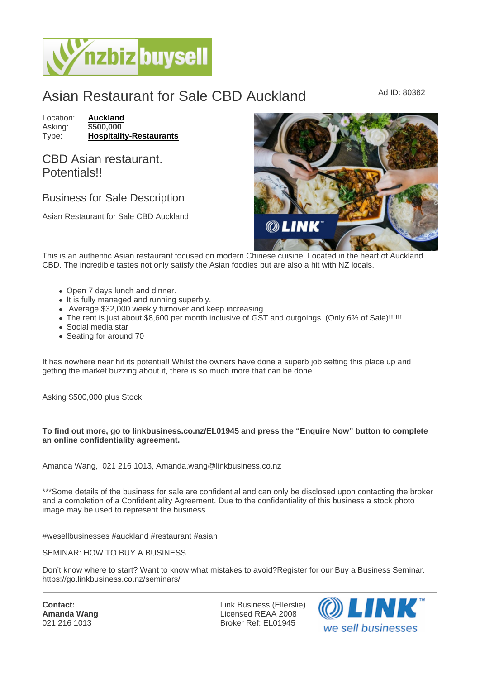## Asian Restaurant for Sale CBD Auckland Ad ID: 80362

Location: [Auckland](https://www.nzbizbuysell.co.nz/businesses-for-sale/location/Auckland) Asking: \$500,000<br>Type: Hospitality [Hospitality-Restaurants](https://www.nzbizbuysell.co.nz/businesses-for-sale/Restaurants/New-Zealand)

CBD Asian restaurant. **Potentials!!** 

## Business for Sale Description

Asian Restaurant for Sale CBD Auckland

This is an authentic Asian restaurant focused on modern Chinese cuisine. Located in the heart of Auckland CBD. The incredible tastes not only satisfy the Asian foodies but are also a hit with NZ locals.

- Open 7 days lunch and dinner.
- It is fully managed and running superbly.
- Average \$32,000 weekly turnover and keep increasing.
- The rent is just about \$8,600 per month inclusive of GST and outgoings. (Only 6% of Sale)!!!!!!
- Social media star
- Seating for around 70

It has nowhere near hit its potential! Whilst the owners have done a superb job setting this place up and getting the market buzzing about it, there is so much more that can be done.

Asking \$500,000 plus Stock

To find out more, go to linkbusiness.co.nz/EL01945 and press the "Enquire Now" button to complete an online confidentiality agreement.

Amanda Wang, 021 216 1013, Amanda.wang@linkbusiness.co.nz

\*\*\*Some details of the business for sale are confidential and can only be disclosed upon contacting the broker and a completion of a Confidentiality Agreement. Due to the confidentiality of this business a stock photo image may be used to represent the business.

#wesellbusinesses #auckland #restaurant #asian

SEMINAR: HOW TO BUY A BUSINESS

Don't know where to start? Want to know what mistakes to avoid?Register for our Buy a Business Seminar. https://go.linkbusiness.co.nz/seminars/

Contact: Amanda Wang 021 216 1013

Link Business (Ellerslie) Licensed REAA 2008 Broker Ref: EL01945